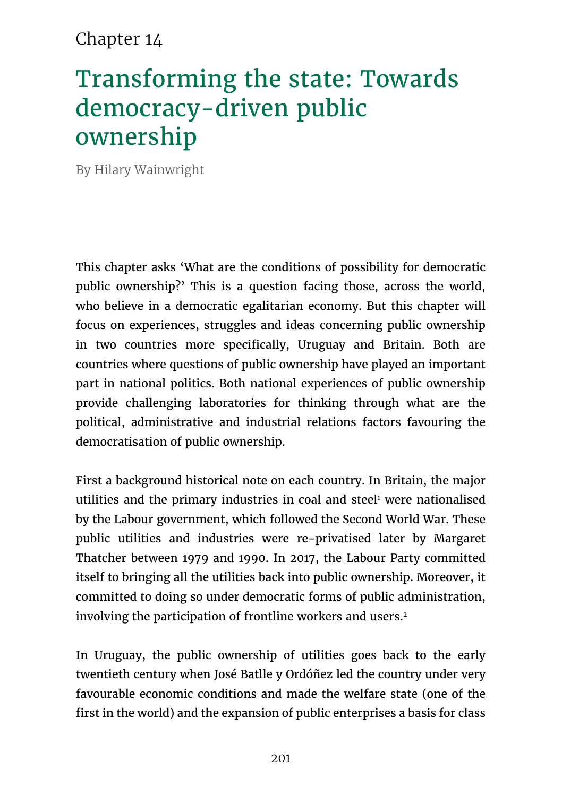### Chapter 14

# Transforming the state: Towards democracy-driven public ownership

By Hilary Wainwright

This chapter asks 'What are the conditions of possibility for democratic public ownership?' This is a question facing those, across the world, who believe in a democratic egalitarian economy. But this chapter will focus on experiences, struggles and ideas concerning public ownership in two countries more specifically, Uruguay and Britain. Both are countries where questions of public ownership have played an important part in national politics. Both national experiences of public ownership provide challenging laboratories for thinking through what are the political, administrative and industrial relations factors favouring the democratisation of public ownership.

First a background historical note on each country. In Britain, the major utilities and the primary industries in coal and steel<sup>1</sup> were nationalised by the Labour government, which followed the Second World War. These public utilities and industries were re-privatised later by Margaret Thatcher between 1979 and 1990. In 2017, the Labour Party committed itself to bringing all the utilities back into public ownership. Moreover, it committed to doing so under democratic forms of public administration, involving the participation of frontline workers and users.<sup>2</sup>

In Uruguay, the public ownership of utilities goes back to the early twentieth century when José Batlle y Ordóñez led the country under very favourable economic conditions and made the welfare state (one of the first in the world) and the expansion of public enterprises a basis for class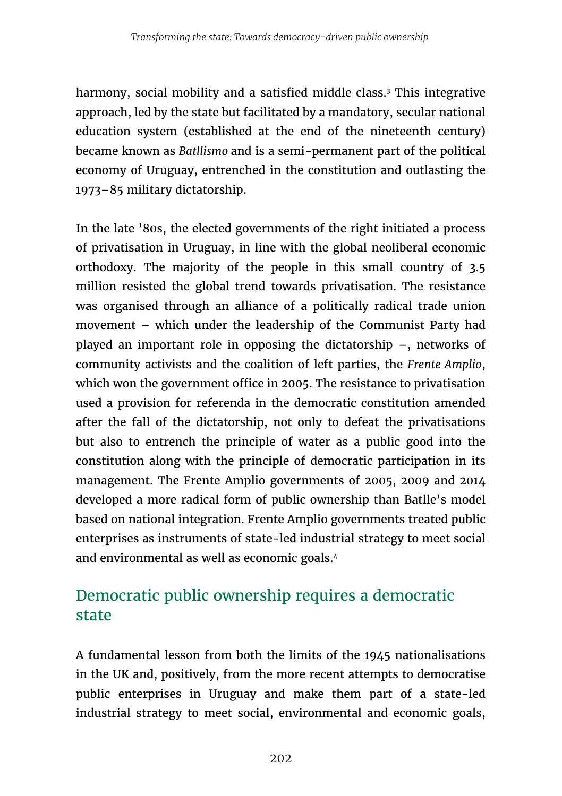harmony, social mobility and a satisfied middle class.<sup>3</sup> This integrative approach, led by the state but facilitated by a mandatory, secular national education system (established at the end of the nineteenth century) became known as *Batllismo* and is a semi-permanent part of the political economy of Uruguay, entrenched in the constitution and outlasting the 1973–85 military dictatorship.

In the late '80s, the elected governments of the right initiated a process of privatisation in Uruguay, in line with the global neoliberal economic orthodoxy. The majority of the people in this small country of 3.5 million resisted the global trend towards privatisation. The resistance was organised through an alliance of a politically radical trade union movement – which under the leadership of the Communist Party had played an important role in opposing the dictatorship –, networks of community activists and the coalition of left parties, the *Frente Amplio*, which won the government office in 2005. The resistance to privatisation used a provision for referenda in the democratic constitution amended after the fall of the dictatorship, not only to defeat the privatisations but also to entrench the principle of water as a public good into the constitution along with the principle of democratic participation in its management. The Frente Amplio governments of 2005, 2009 and 2014 developed a more radical form of public ownership than Batlle's model based on national integration. Frente Amplio governments treated public enterprises as instruments of state-led industrial strategy to meet social and environmental as well as economic goals.4

## Democratic public ownership requires a democratic state

A fundamental lesson from both the limits of the 1945 nationalisations in the UK and, positively, from the more recent attempts to democratise public enterprises in Uruguay and make them part of a state-led industrial strategy to meet social, environmental and economic goals,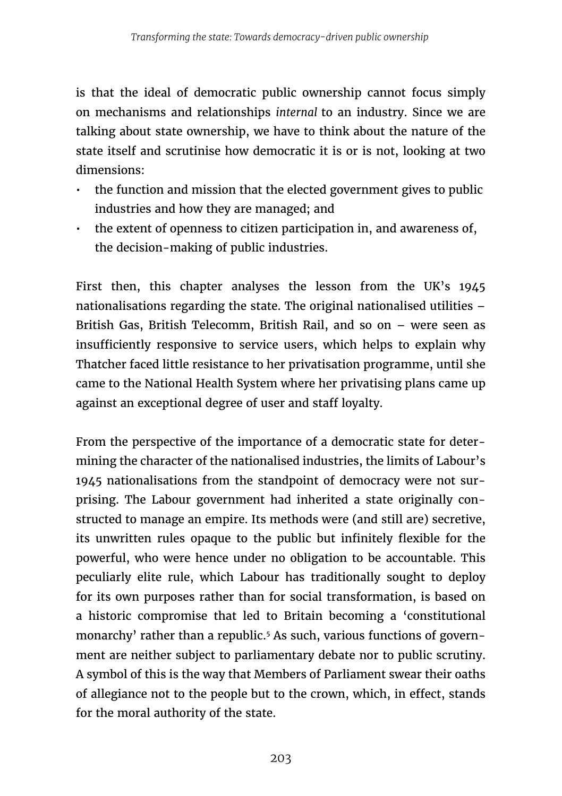is that the ideal of democratic public ownership cannot focus simply on mechanisms and relationships *internal* to an industry. Since we are talking about state ownership, we have to think about the nature of the state itself and scrutinise how democratic it is or is not, looking at two dimensions:

- the function and mission that the elected government gives to public industries and how they are managed; and
- the extent of openness to citizen participation in, and awareness of, the decision-making of public industries.

First then, this chapter analyses the lesson from the UK's 1945 nationalisations regarding the state. The original nationalised utilities – British Gas, British Telecomm, British Rail, and so on – were seen as insufficiently responsive to service users, which helps to explain why Thatcher faced little resistance to her privatisation programme, until she came to the National Health System where her privatising plans came up against an exceptional degree of user and staff loyalty.

From the perspective of the importance of a democratic state for determining the character of the nationalised industries, the limits of Labour's 1945 nationalisations from the standpoint of democracy were not surprising. The Labour government had inherited a state originally constructed to manage an empire. Its methods were (and still are) secretive, its unwritten rules opaque to the public but infinitely flexible for the powerful, who were hence under no obligation to be accountable. This peculiarly elite rule, which Labour has traditionally sought to deploy for its own purposes rather than for social transformation, is based on a historic compromise that led to Britain becoming a 'constitutional monarchy' rather than a republic.<sup>5</sup> As such, various functions of government are neither subject to parliamentary debate nor to public scrutiny. A symbol of this is the way that Members of Parliament swear their oaths of allegiance not to the people but to the crown, which, in effect, stands for the moral authority of the state.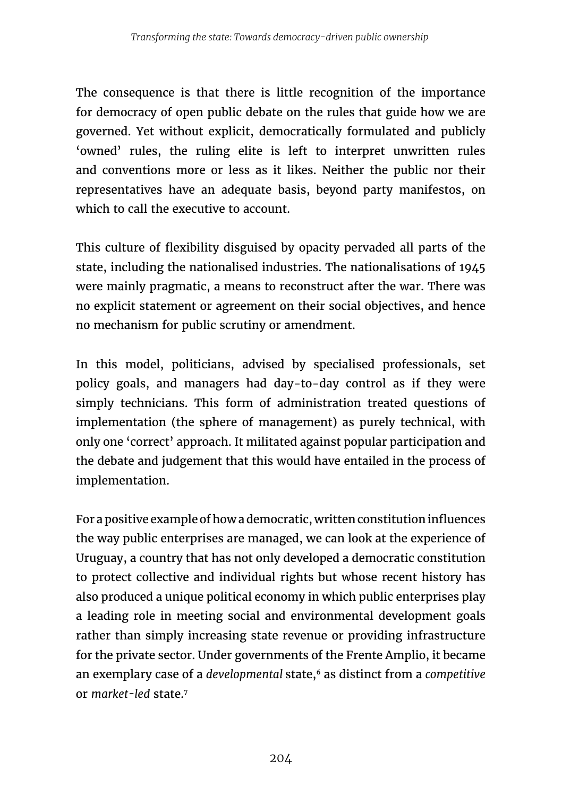The consequence is that there is little recognition of the importance for democracy of open public debate on the rules that guide how we are governed. Yet without explicit, democratically formulated and publicly 'owned' rules, the ruling elite is left to interpret unwritten rules and conventions more or less as it likes. Neither the public nor their representatives have an adequate basis, beyond party manifestos, on which to call the executive to account.

This culture of flexibility disguised by opacity pervaded all parts of the state, including the nationalised industries. The nationalisations of 1945 were mainly pragmatic, a means to reconstruct after the war. There was no explicit statement or agreement on their social objectives, and hence no mechanism for public scrutiny or amendment.

In this model, politicians, advised by specialised professionals, set policy goals, and managers had day-to-day control as if they were simply technicians. This form of administration treated questions of implementation (the sphere of management) as purely technical, with only one 'correct' approach. It militated against popular participation and the debate and judgement that this would have entailed in the process of implementation.

For a positive example of how a democratic, written constitution influences the way public enterprises are managed, we can look at the experience of Uruguay, a country that has not only developed a democratic constitution to protect collective and individual rights but whose recent history has also produced a unique political economy in which public enterprises play a leading role in meeting social and environmental development goals rather than simply increasing state revenue or providing infrastructure for the private sector. Under governments of the Frente Amplio, it became an exemplary case of a *developmental* state,<sup>6</sup> as distinct from a *competitive* or *market-led* state.7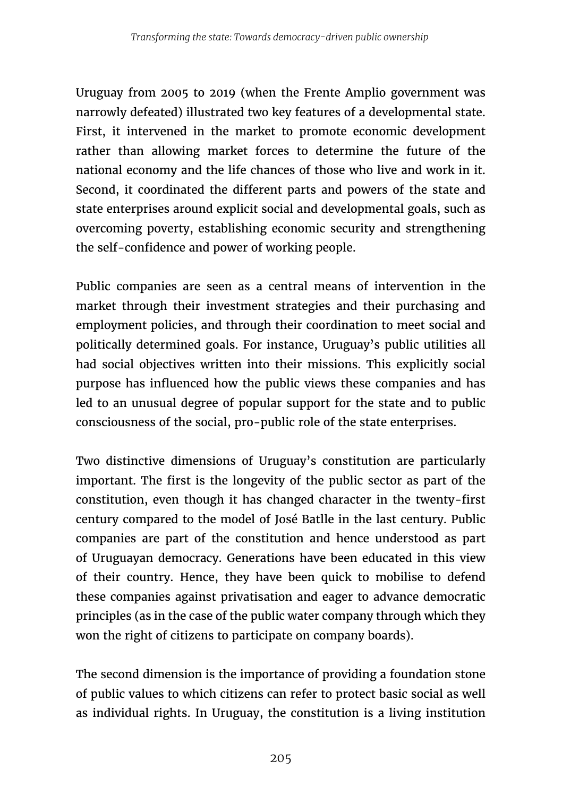Uruguay from 2005 to 2019 (when the Frente Amplio government was narrowly defeated) illustrated two key features of a developmental state. First, it intervened in the market to promote economic development rather than allowing market forces to determine the future of the national economy and the life chances of those who live and work in it. Second, it coordinated the different parts and powers of the state and state enterprises around explicit social and developmental goals, such as overcoming poverty, establishing economic security and strengthening the self-confidence and power of working people.

Public companies are seen as a central means of intervention in the market through their investment strategies and their purchasing and employment policies, and through their coordination to meet social and politically determined goals. For instance, Uruguay's public utilities all had social objectives written into their missions. This explicitly social purpose has influenced how the public views these companies and has led to an unusual degree of popular support for the state and to public consciousness of the social, pro-public role of the state enterprises.

Two distinctive dimensions of Uruguay's constitution are particularly important. The first is the longevity of the public sector as part of the constitution, even though it has changed character in the twenty-first century compared to the model of José Batlle in the last century. Public companies are part of the constitution and hence understood as part of Uruguayan democracy. Generations have been educated in this view of their country. Hence, they have been quick to mobilise to defend these companies against privatisation and eager to advance democratic principles (as in the case of the public water company through which they won the right of citizens to participate on company boards).

The second dimension is the importance of providing a foundation stone of public values to which citizens can refer to protect basic social as well as individual rights. In Uruguay, the constitution is a living institution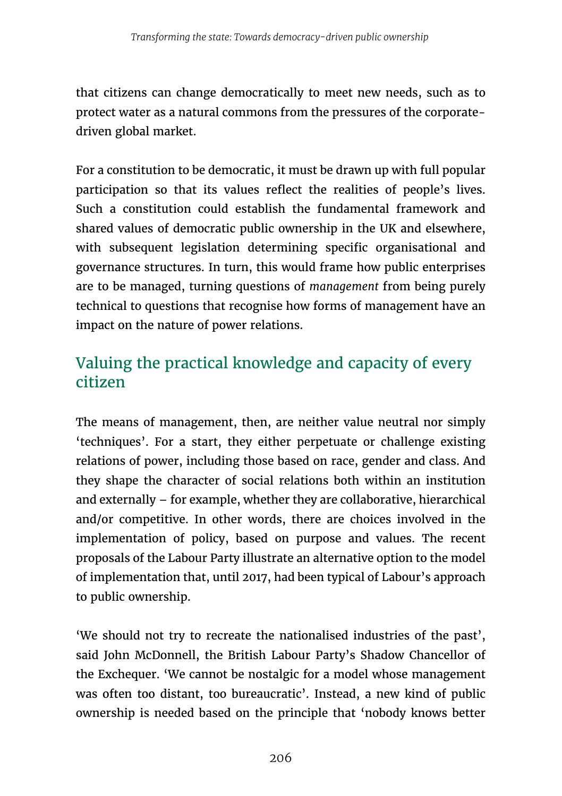that citizens can change democratically to meet new needs, such as to protect water as a natural commons from the pressures of the corporatedriven global market.

For a constitution to be democratic, it must be drawn up with full popular participation so that its values reflect the realities of people's lives. Such a constitution could establish the fundamental framework and shared values of democratic public ownership in the UK and elsewhere, with subsequent legislation determining specific organisational and governance structures. In turn, this would frame how public enterprises are to be managed, turning questions of *management* from being purely technical to questions that recognise how forms of management have an impact on the nature of power relations.

# Valuing the practical knowledge and capacity of every citizen

The means of management, then, are neither value neutral nor simply 'techniques'. For a start, they either perpetuate or challenge existing relations of power, including those based on race, gender and class. And they shape the character of social relations both within an institution and externally – for example, whether they are collaborative, hierarchical and/or competitive. In other words, there are choices involved in the implementation of policy, based on purpose and values. The recent proposals of the Labour Party illustrate an alternative option to the model of implementation that, until 2017, had been typical of Labour's approach to public ownership.

'We should not try to recreate the nationalised industries of the past', said John McDonnell, the British Labour Party's Shadow Chancellor of the Exchequer. 'We cannot be nostalgic for a model whose management was often too distant, too bureaucratic'. Instead, a new kind of public ownership is needed based on the principle that 'nobody knows better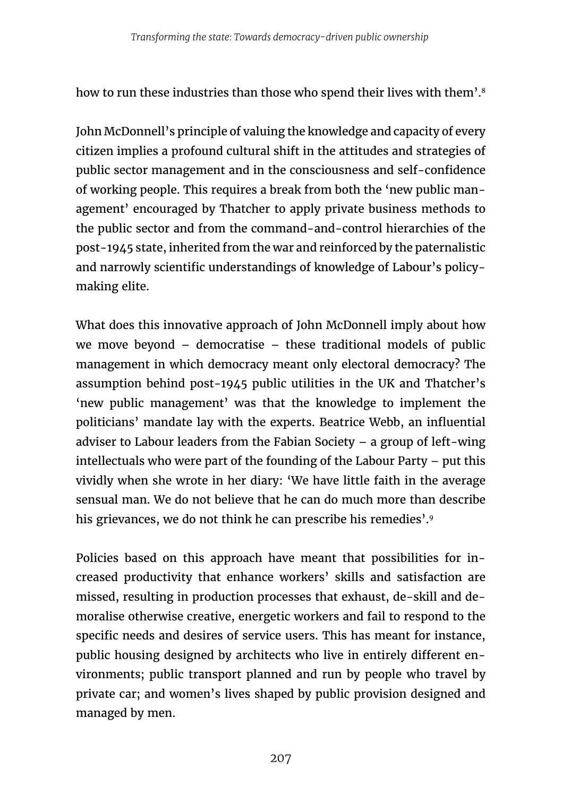how to run these industries than those who spend their lives with them'.<sup>8</sup>

John McDonnell's principle of valuing the knowledge and capacity of every citizen implies a profound cultural shift in the attitudes and strategies of public sector management and in the consciousness and self-confidence of working people. This requires a break from both the 'new public management' encouraged by Thatcher to apply private business methods to the public sector and from the command-and-control hierarchies of the post-1945 state, inherited from the war and reinforced by the paternalistic and narrowly scientific understandings of knowledge of Labour's policymaking elite.

What does this innovative approach of John McDonnell imply about how we move beyond – democratise – these traditional models of public management in which democracy meant only electoral democracy? The assumption behind post-1945 public utilities in the UK and Thatcher's 'new public management' was that the knowledge to implement the politicians' mandate lay with the experts. Beatrice Webb, an influential adviser to Labour leaders from the Fabian Society – a group of left-wing intellectuals who were part of the founding of the Labour Party – put this vividly when she wrote in her diary: 'We have little faith in the average sensual man. We do not believe that he can do much more than describe his grievances, we do not think he can prescribe his remedies'.<sup>9</sup>

Policies based on this approach have meant that possibilities for increased productivity that enhance workers' skills and satisfaction are missed, resulting in production processes that exhaust, de-skill and demoralise otherwise creative, energetic workers and fail to respond to the specific needs and desires of service users. This has meant for instance, public housing designed by architects who live in entirely different environments; public transport planned and run by people who travel by private car; and women's lives shaped by public provision designed and managed by men.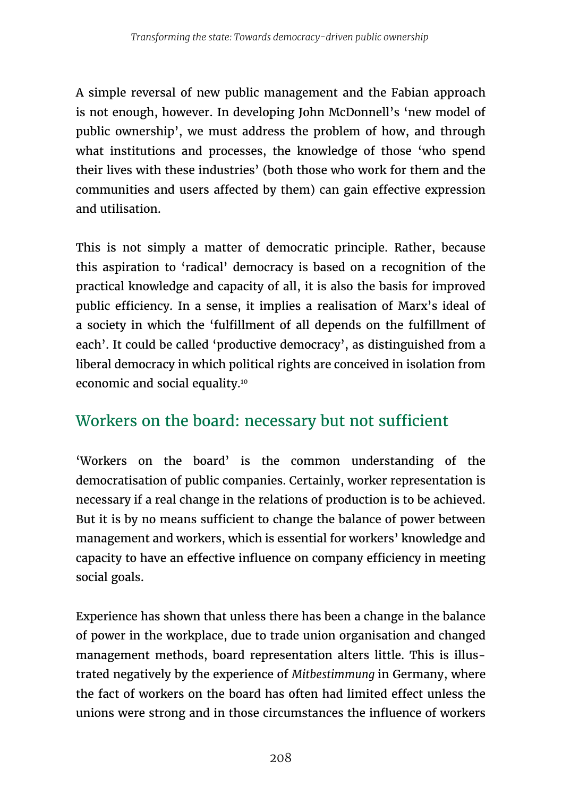A simple reversal of new public management and the Fabian approach is not enough, however. In developing John McDonnell's 'new model of public ownership', we must address the problem of how, and through what institutions and processes, the knowledge of those 'who spend their lives with these industries' (both those who work for them and the communities and users affected by them) can gain effective expression and utilisation.

This is not simply a matter of democratic principle. Rather, because this aspiration to 'radical' democracy is based on a recognition of the practical knowledge and capacity of all, it is also the basis for improved public efficiency. In a sense, it implies a realisation of Marx's ideal of a society in which the 'fulfillment of all depends on the fulfillment of each'. It could be called 'productive democracy', as distinguished from a liberal democracy in which political rights are conceived in isolation from economic and social equality.10

#### Workers on the board: necessary but not sufficient

'Workers on the board' is the common understanding of the democratisation of public companies. Certainly, worker representation is necessary if a real change in the relations of production is to be achieved. But it is by no means sufficient to change the balance of power between management and workers, which is essential for workers' knowledge and capacity to have an effective influence on company efficiency in meeting social goals.

Experience has shown that unless there has been a change in the balance of power in the workplace, due to trade union organisation and changed management methods, board representation alters little. This is illustrated negatively by the experience of *Mitbestimmung* in Germany, where the fact of workers on the board has often had limited effect unless the unions were strong and in those circumstances the influence of workers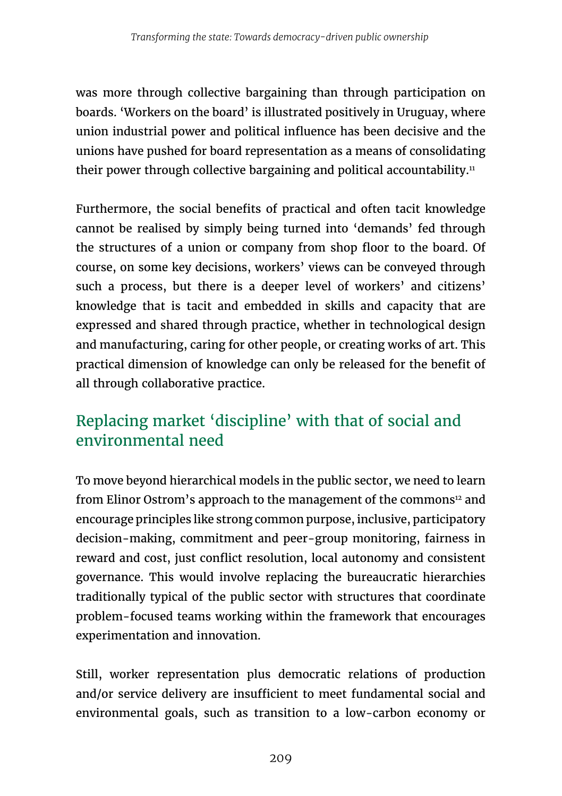was more through collective bargaining than through participation on boards. 'Workers on the board' is illustrated positively in Uruguay, where union industrial power and political influence has been decisive and the unions have pushed for board representation as a means of consolidating their power through collective bargaining and political accountability.<sup>11</sup>

Furthermore, the social benefits of practical and often tacit knowledge cannot be realised by simply being turned into 'demands' fed through the structures of a union or company from shop floor to the board. Of course, on some key decisions, workers' views can be conveyed through such a process, but there is a deeper level of workers' and citizens' knowledge that is tacit and embedded in skills and capacity that are expressed and shared through practice, whether in technological design and manufacturing, caring for other people, or creating works of art. This practical dimension of knowledge can only be released for the benefit of all through collaborative practice.

# Replacing market 'discipline' with that of social and environmental need

To move beyond hierarchical models in the public sector, we need to learn from Elinor Ostrom's approach to the management of the commons<sup>12</sup> and encourage principles like strong common purpose, inclusive, participatory decision-making, commitment and peer-group monitoring, fairness in reward and cost, just conflict resolution, local autonomy and consistent governance. This would involve replacing the bureaucratic hierarchies traditionally typical of the public sector with structures that coordinate problem-focused teams working within the framework that encourages experimentation and innovation.

Still, worker representation plus democratic relations of production and/or service delivery are insufficient to meet fundamental social and environmental goals, such as transition to a low-carbon economy or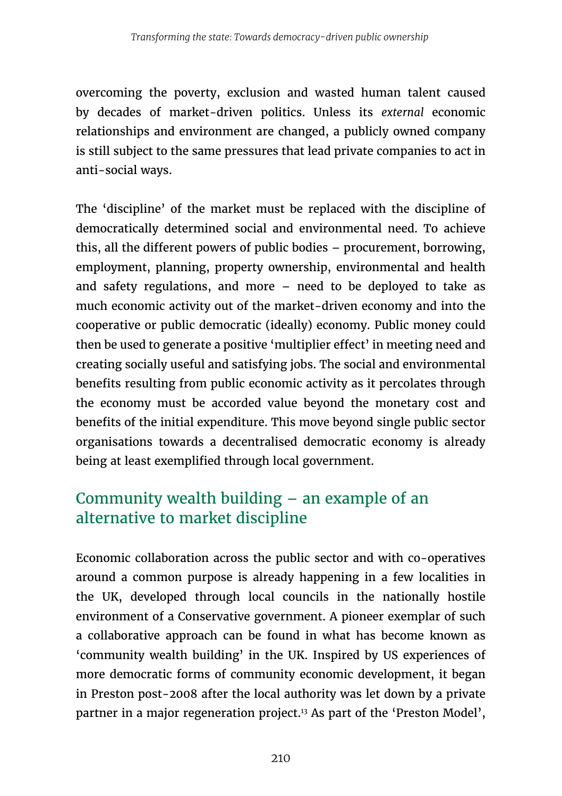overcoming the poverty, exclusion and wasted human talent caused by decades of market-driven politics. Unless its *external* economic relationships and environment are changed, a publicly owned company is still subject to the same pressures that lead private companies to act in anti-social ways.

The 'discipline' of the market must be replaced with the discipline of democratically determined social and environmental need. To achieve this, all the different powers of public bodies – procurement, borrowing, employment, planning, property ownership, environmental and health and safety regulations, and more – need to be deployed to take as much economic activity out of the market-driven economy and into the cooperative or public democratic (ideally) economy. Public money could then be used to generate a positive 'multiplier effect' in meeting need and creating socially useful and satisfying jobs. The social and environmental benefits resulting from public economic activity as it percolates through the economy must be accorded value beyond the monetary cost and benefits of the initial expenditure. This move beyond single public sector organisations towards a decentralised democratic economy is already being at least exemplified through local government.

#### Community wealth building – an example of an alternative to market discipline

Economic collaboration across the public sector and with co-operatives around a common purpose is already happening in a few localities in the UK, developed through local councils in the nationally hostile environment of a Conservative government. A pioneer exemplar of such a collaborative approach can be found in what has become known as 'community wealth building' in the UK. Inspired by US experiences of more democratic forms of community economic development, it began in Preston post-2008 after the local authority was let down by a private partner in a major regeneration project.13 As part of the 'Preston Model',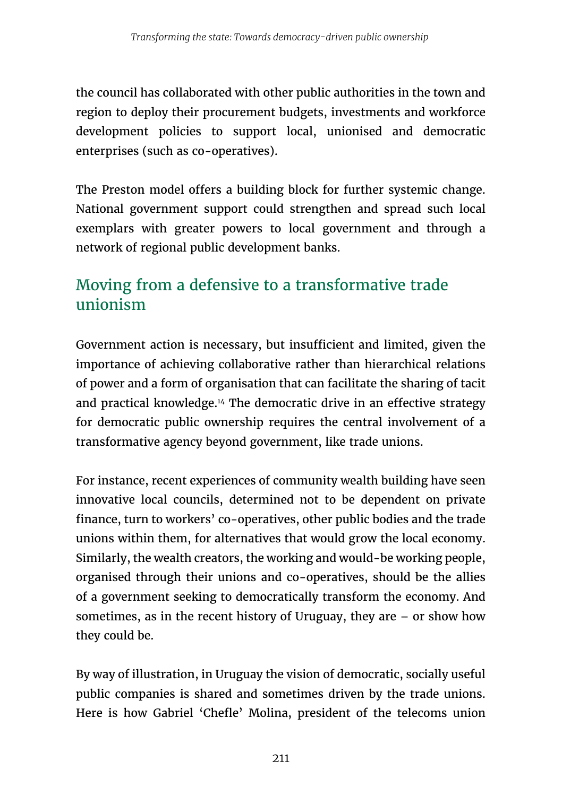the council has collaborated with other public authorities in the town and region to deploy their procurement budgets, investments and workforce development policies to support local, unionised and democratic enterprises (such as co-operatives).

The Preston model offers a building block for further systemic change. National government support could strengthen and spread such local exemplars with greater powers to local government and through a network of regional public development banks.

#### Moving from a defensive to a transformative trade unionism

Government action is necessary, but insufficient and limited, given the importance of achieving collaborative rather than hierarchical relations of power and a form of organisation that can facilitate the sharing of tacit and practical knowledge.14 The democratic drive in an effective strategy for democratic public ownership requires the central involvement of a transformative agency beyond government, like trade unions.

For instance, recent experiences of community wealth building have seen innovative local councils, determined not to be dependent on private finance, turn to workers' co-operatives, other public bodies and the trade unions within them, for alternatives that would grow the local economy. Similarly, the wealth creators, the working and would-be working people, organised through their unions and co-operatives, should be the allies of a government seeking to democratically transform the economy. And sometimes, as in the recent history of Uruguay, they are  $-$  or show how they could be.

By way of illustration, in Uruguay the vision of democratic, socially useful public companies is shared and sometimes driven by the trade unions. Here is how Gabriel 'Chefle' Molina, president of the telecoms union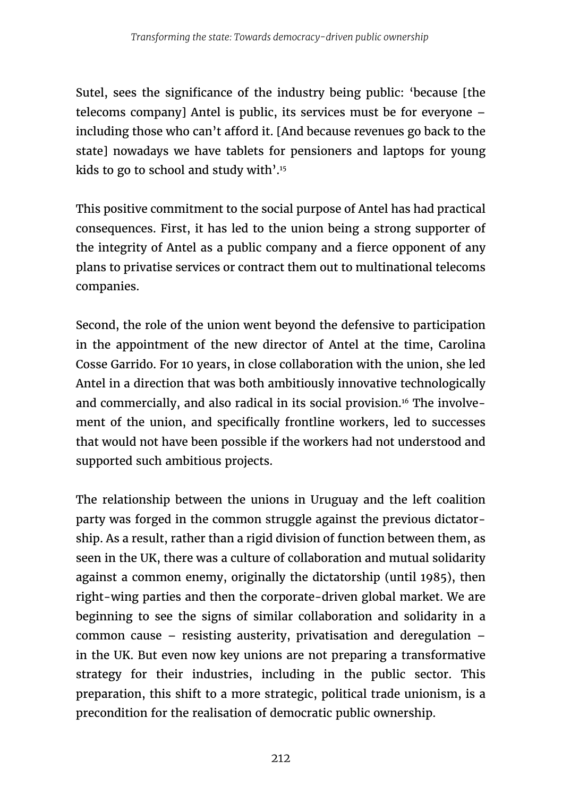Sutel, sees the significance of the industry being public: 'because [the telecoms company] Antel is public, its services must be for everyone – including those who can't afford it. [And because revenues go back to the state] nowadays we have tablets for pensioners and laptops for young kids to go to school and study with'.15

This positive commitment to the social purpose of Antel has had practical consequences. First, it has led to the union being a strong supporter of the integrity of Antel as a public company and a fierce opponent of any plans to privatise services or contract them out to multinational telecoms companies.

Second, the role of the union went beyond the defensive to participation in the appointment of the new director of Antel at the time, Carolina Cosse Garrido. For 10 years, in close collaboration with the union, she led Antel in a direction that was both ambitiously innovative technologically and commercially, and also radical in its social provision.16 The involvement of the union, and specifically frontline workers, led to successes that would not have been possible if the workers had not understood and supported such ambitious projects.

The relationship between the unions in Uruguay and the left coalition party was forged in the common struggle against the previous dictatorship. As a result, rather than a rigid division of function between them, as seen in the UK, there was a culture of collaboration and mutual solidarity against a common enemy, originally the dictatorship (until 1985), then right-wing parties and then the corporate-driven global market. We are beginning to see the signs of similar collaboration and solidarity in a common cause – resisting austerity, privatisation and deregulation – in the UK. But even now key unions are not preparing a transformative strategy for their industries, including in the public sector. This preparation, this shift to a more strategic, political trade unionism, is a precondition for the realisation of democratic public ownership.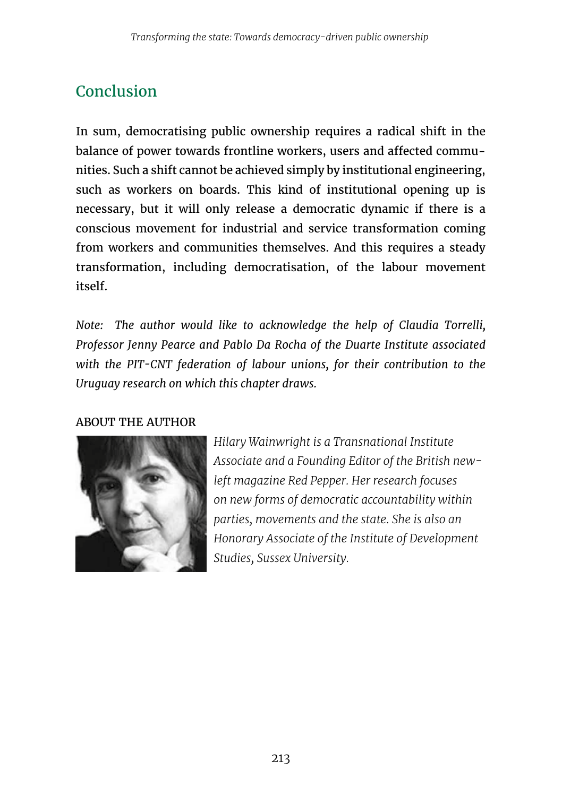# Conclusion

In sum, democratising public ownership requires a radical shift in the balance of power towards frontline workers, users and affected communities. Such a shift cannot be achieved simply by institutional engineering, such as workers on boards. This kind of institutional opening up is necessary, but it will only release a democratic dynamic if there is a conscious movement for industrial and service transformation coming from workers and communities themselves. And this requires a steady transformation, including democratisation, of the labour movement itself.

*Note: The author would like to acknowledge the help of Claudia Torrelli, Professor Jenny Pearce and Pablo Da Rocha of the Duarte Institute associated with the PIT-CNT federation of labour unions, for their contribution to the Uruguay research on which this chapter draws.*

#### ABOUT THE AUTHOR



*Hilary Wainwright is a Transnational Institute Associate and a Founding Editor of the British newleft magazine Red Pepper. Her research focuses on new forms of democratic accountability within parties, movements and the state. She is also an Honorary Associate of the Institute of Development Studies, Sussex University.*